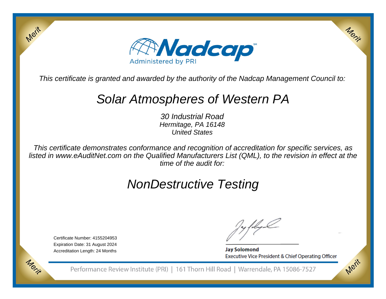

This certificate is granted and awarded by the authority of the Nadcap Management Council to:

## Solar Atmospheres of Western PA

30 Industrial Road Hermitage, PA 16148United States

This certificate demonstrates conformance and recognition of accreditation for specific services, as listed in www.eAuditNet.com on the Qualified Manufacturers List (QML), to the revision in effect at thetime of the audit for:

# NonDestructive Testing

Certificate Number: 4155204953 Expiration Date: 31 August 2024Accreditation Length: 24 Months

Merit

Morie

**Jay Solomond** Executive Vice President & Chief Operating Officer Merix

Merit

Performance Review Institute (PRI) | 161 Thorn Hill Road | Warrendale, PA 15086-7527